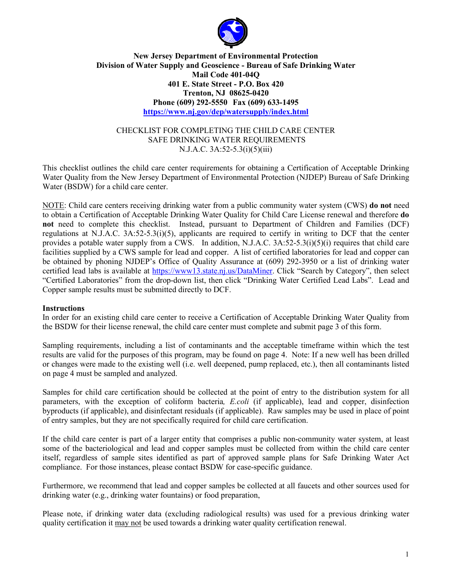

### **New Jersey Department of Environmental Protection Division of Water Supply and Geoscience - Bureau of Safe Drinking Water Mail Code 401-04Q 401 E. State Street - P.O. Box 420 Trenton, NJ 08625-0420 Phone (609) 292-5550 Fax (609) 633-1495 <https://www.nj.gov/dep/watersupply/index.html>**

#### CHECKLIST FOR COMPLETING THE CHILD CARE CENTER SAFE DRINKING WATER REQUIREMENTS N.J.A.C. 3A:52-5.3(i)(5)(iii)

This checklist outlines the child care center requirements for obtaining a Certification of Acceptable Drinking Water Quality from the New Jersey Department of Environmental Protection (NJDEP) Bureau of Safe Drinking Water (BSDW) for a child care center.

NOTE: Child care centers receiving drinking water from a public community water system (CWS) **do not** need to obtain a Certification of Acceptable Drinking Water Quality for Child Care License renewal and therefore **do not** need to complete this checklist. Instead, pursuant to Department of Children and Families (DCF) regulations at N.J.A.C. 3A:52-5.3(i)(5), applicants are required to certify in writing to DCF that the center provides a potable water supply from a CWS. In addition, N.J.A.C. 3A:52-5.3(i)(5)(i) requires that child care facilities supplied by a CWS sample for lead and copper. A list of certified laboratories for lead and copper can be obtained by phoning NJDEP's Office of Quality Assurance at (609) 292-3950 or a list of drinking water certified lead labs is available at [https://www13.state.nj.us/DataMiner.](https://www13.state.nj.us/DataMiner) Click "Search by Category", then select "Certified Laboratories" from the drop-down list, then click "Drinking Water Certified Lead Labs". Lead and Copper sample results must be submitted directly to DCF.

#### **Instructions**

In order for an existing child care center to receive a Certification of Acceptable Drinking Water Quality from the BSDW for their license renewal, the child care center must complete and submit page 3 of this form.

Sampling requirements, including a list of contaminants and the acceptable timeframe within which the test results are valid for the purposes of this program, may be found on page 4. Note: If a new well has been drilled or changes were made to the existing well (i.e. well deepened, pump replaced, etc.), then all contaminants listed on page 4 must be sampled and analyzed.

Samples for child care certification should be collected at the point of entry to the distribution system for all parameters, with the exception of coliform bacteria*, E.coli* (if applicable), lead and copper, disinfection byproducts (if applicable), and disinfectant residuals (if applicable). Raw samples may be used in place of point of entry samples, but they are not specifically required for child care certification.

If the child care center is part of a larger entity that comprises a public non-community water system, at least some of the bacteriological and lead and copper samples must be collected from within the child care center itself, regardless of sample sites identified as part of approved sample plans for Safe Drinking Water Act compliance. For those instances, please contact BSDW for case-specific guidance.

Furthermore, we recommend that lead and copper samples be collected at all faucets and other sources used for drinking water (e.g., drinking water fountains) or food preparation,

Please note, if drinking water data (excluding radiological results) was used for a previous drinking water quality certification it may not be used towards a drinking water quality certification renewal.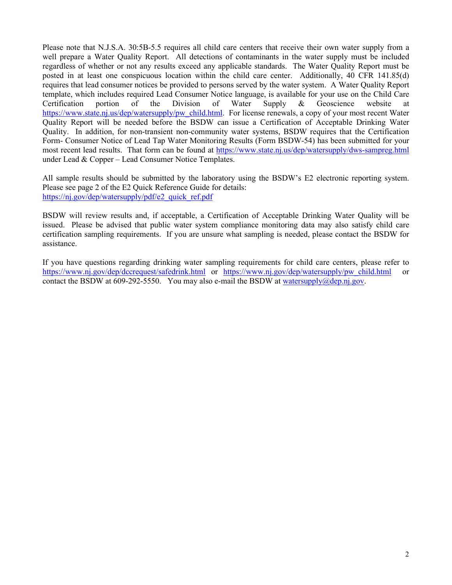Please note that N.J.S.A. 30:5B-5.5 requires all child care centers that receive their own water supply from a well prepare a Water Quality Report. All detections of contaminants in the water supply must be included regardless of whether or not any results exceed any applicable standards. The Water Quality Report must be posted in at least one conspicuous location within the child care center. Additionally, 40 CFR 141.85(d) requires that lead consumer notices be provided to persons served by the water system. A Water Quality Report template, which includes required Lead Consumer Notice language, is available for your use on the Child Care Certification portion of the Division of Water Supply & Geoscience website at [https://www.state.nj.us/dep/watersupply/pw\\_child.html.](https://www.state.nj.us/dep/watersupply/pw_child.html) For license renewals, a copy of your most recent Water Quality Report will be needed before the BSDW can issue a Certification of Acceptable Drinking Water Quality. In addition, for non-transient non-community water systems, BSDW requires that the Certification Form- Consumer Notice of Lead Tap Water Monitoring Results (Form BSDW-54) has been submitted for your most recent lead results. That form can be found at<https://www.state.nj.us/dep/watersupply/dws-sampreg.html> under Lead & Copper – Lead Consumer Notice Templates.

All sample results should be submitted by the laboratory using the BSDW's E2 electronic reporting system. Please see page 2 of the E2 Quick Reference Guide for details: [https://nj.gov/dep/watersupply/pdf/e2\\_quick\\_ref.pdf](https://nj.gov/dep/watersupply/pdf/e2_quick_ref.pdf)

BSDW will review results and, if acceptable, a Certification of Acceptable Drinking Water Quality will be issued. Please be advised that public water system compliance monitoring data may also satisfy child care certification sampling requirements. If you are unsure what sampling is needed, please contact the BSDW for assistance.

If you have questions regarding drinking water sampling requirements for child care centers, please refer to <https://www.nj.gov/dep/dccrequest/safedrink.html> or [https://www.nj.gov/dep/watersupply/pw\\_child.html](https://www.nj.gov/dep/watersupply/pw_child.html) or contact the BSDW at 609-292-5550. You may also e-mail the BSDW at [watersupply@dep.nj.gov.](mailto:watersupply@dep.nj.gov)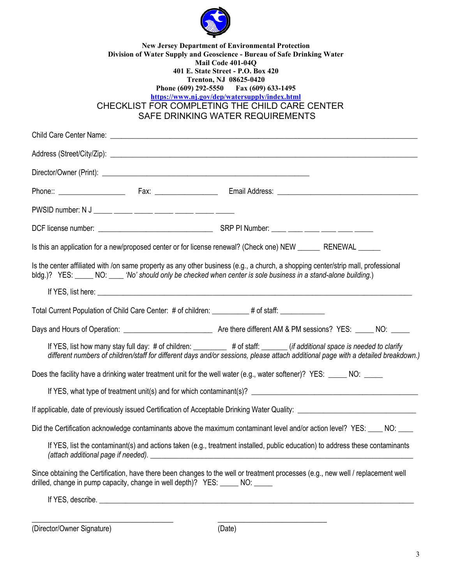

| 401 E. State Street - P.O. Box 420<br>Trenton, NJ 08625-0420<br>Phone (609) 292-5550 Fax (609) 633-1495<br>https://www.nj.gov/dep/watersupply/index.html<br>CHECKLIST FOR COMPLETING THE CHILD CARE CENTER<br>SAFE DRINKING WATER REQUIREMENTS |  |                                                                                                                                                                                                                                                       |  |  |  |
|------------------------------------------------------------------------------------------------------------------------------------------------------------------------------------------------------------------------------------------------|--|-------------------------------------------------------------------------------------------------------------------------------------------------------------------------------------------------------------------------------------------------------|--|--|--|
|                                                                                                                                                                                                                                                |  |                                                                                                                                                                                                                                                       |  |  |  |
|                                                                                                                                                                                                                                                |  |                                                                                                                                                                                                                                                       |  |  |  |
|                                                                                                                                                                                                                                                |  |                                                                                                                                                                                                                                                       |  |  |  |
|                                                                                                                                                                                                                                                |  |                                                                                                                                                                                                                                                       |  |  |  |
|                                                                                                                                                                                                                                                |  |                                                                                                                                                                                                                                                       |  |  |  |
|                                                                                                                                                                                                                                                |  | Is this an application for a new/proposed center or for license renewal? (Check one) NEW _______ RENEWAL _____                                                                                                                                        |  |  |  |
|                                                                                                                                                                                                                                                |  | Is the center affiliated with /on same property as any other business (e.g., a church, a shopping center/strip mall, professional                                                                                                                     |  |  |  |
|                                                                                                                                                                                                                                                |  | bldg.)? YES: NO: No' should only be checked when center is sole business in a stand-alone building.)                                                                                                                                                  |  |  |  |
|                                                                                                                                                                                                                                                |  |                                                                                                                                                                                                                                                       |  |  |  |
|                                                                                                                                                                                                                                                |  | Total Current Population of Child Care Center: # of children: ________# of staff: ___________                                                                                                                                                         |  |  |  |
|                                                                                                                                                                                                                                                |  |                                                                                                                                                                                                                                                       |  |  |  |
|                                                                                                                                                                                                                                                |  | If YES, list how many stay full day: # of children: # of staff: ______ (if additional space is needed to clarify<br>different numbers of children/staff for different days and/or sessions, please attach additional page with a detailed breakdown.) |  |  |  |
|                                                                                                                                                                                                                                                |  | Does the facility have a drinking water treatment unit for the well water (e.g., water softener)? YES: _____ NO: ____                                                                                                                                 |  |  |  |
|                                                                                                                                                                                                                                                |  |                                                                                                                                                                                                                                                       |  |  |  |
|                                                                                                                                                                                                                                                |  |                                                                                                                                                                                                                                                       |  |  |  |
|                                                                                                                                                                                                                                                |  | Did the Certification acknowledge contaminants above the maximum contaminant level and/or action level? YES: ____ NO: ____                                                                                                                            |  |  |  |
|                                                                                                                                                                                                                                                |  | If YES, list the contaminant(s) and actions taken (e.g., treatment installed, public education) to address these contaminants                                                                                                                         |  |  |  |
|                                                                                                                                                                                                                                                |  | Since obtaining the Certification, have there been changes to the well or treatment processes (e.g., new well / replacement well<br>drilled, change in pump capacity, change in well depth)? YES: _____ NO: _____                                     |  |  |  |

(Director/Owner Signature) (Date)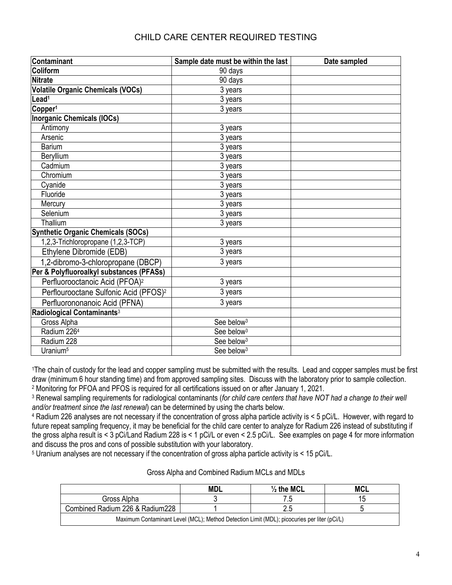| Contaminant                                       | Sample date must be within the last | Date sampled |
|---------------------------------------------------|-------------------------------------|--------------|
| Coliform                                          | 90 days                             |              |
| <b>Nitrate</b>                                    | 90 days                             |              |
| <b>Volatile Organic Chemicals (VOCs)</b>          | 3 years                             |              |
| Lead <sup>1</sup>                                 | 3 years                             |              |
| Copper <sup>1</sup>                               | 3 years                             |              |
| <b>Inorganic Chemicals (IOCs)</b>                 |                                     |              |
| Antimony                                          | 3 years                             |              |
| Arsenic                                           | 3 years                             |              |
| <b>Barium</b>                                     | 3 years                             |              |
| Beryllium                                         | 3 years                             |              |
| Cadmium                                           | 3 years                             |              |
| Chromium                                          | 3 years                             |              |
| Cyanide                                           | 3 years                             |              |
| Fluoride                                          | 3 years                             |              |
| Mercury                                           | 3 years                             |              |
| Selenium                                          | 3 years                             |              |
| Thallium                                          | 3 years                             |              |
| <b>Synthetic Organic Chemicals (SOCs)</b>         |                                     |              |
| 1,2,3-Trichloropropane (1,2,3-TCP)                | 3 years                             |              |
| Ethylene Dibromide (EDB)                          | 3 years                             |              |
| 1,2-dibromo-3-chloropropane (DBCP)                | 3 years                             |              |
| Per & Polyfluoroalkyl substances (PFASs)          |                                     |              |
| Perfluorooctanoic Acid (PFOA) <sup>2</sup>        | 3 years                             |              |
| Perflourooctane Sulfonic Acid (PFOS) <sup>2</sup> | 3 years                             |              |
| Perfluorononanoic Acid (PFNA)                     | 3 years                             |              |
| Radiological Contaminants <sup>3</sup>            |                                     |              |
| Gross Alpha                                       | See below <sup>3</sup>              |              |
| Radium 226 <sup>4</sup>                           | See below <sup>3</sup>              |              |
| Radium 228                                        | See below <sup>3</sup>              |              |
| Uranium <sup>5</sup>                              | See below <sup>3</sup>              |              |

<sup>1</sup>The chain of custody for the lead and copper sampling must be submitted with the results. Lead and copper samples must be first draw (minimum 6 hour standing time) and from approved sampling sites. Discuss with the laboratory prior to sample collection. <sup>2</sup> Monitoring for PFOA and PFOS is required for all certifications issued on or after January 1, 2021.

<sup>3</sup> Renewal sampling requirements for radiological contaminants (*for child care centers that have NOT had a change to their well and/or treatment since the last renewal*) can be determined by using the charts below.

<sup>4</sup> Radium 226 analyses are not necessary if the concentration of gross alpha particle activity is < 5 pCi/L. However, with regard to future repeat sampling frequency, it may be beneficial for the child care center to analyze for Radium 226 instead of substituting if the gross alpha result is < 3 pCi/Land Radium 228 is < 1 pCi/L or even < 2.5 pCi/L. See examples on page 4 for more information and discuss the pros and cons of possible substitution with your laboratory.

<sup>5</sup> Uranium analyses are not necessary if the concentration of gross alpha particle activity is < 15 pCi/L.

|                                                                                             | <b>MDL</b> | $\frac{1}{2}$ the MCL | <b>MCL</b> |  |
|---------------------------------------------------------------------------------------------|------------|-----------------------|------------|--|
| Gross Alpha                                                                                 |            |                       |            |  |
| Combined Radium 226 & Radium 228                                                            |            |                       |            |  |
| Maximum Contaminant Level (MCL); Method Detection Limit (MDL); picocuries per liter (pCi/L) |            |                       |            |  |